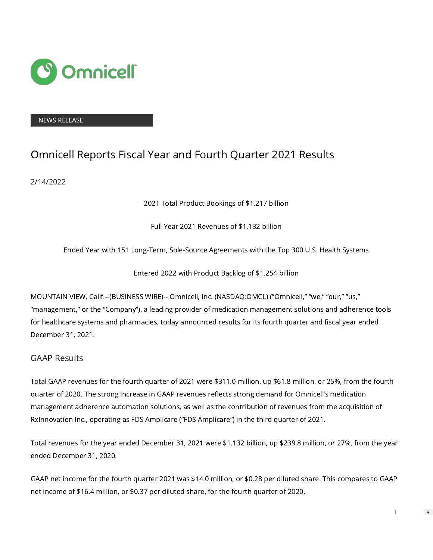

#### NEWS RELEASE

# Omnicell Reports Fiscal Year and Fourth Quarter 2021 Results

2/14/2022

2021 Total Product Bookings of \$1.217 billion

Full Year 2021 Revenues of \$1.132 billion

Ended Year with 151 Long-Term, Sole-Source Agreements with the Top 300 U.S. Health Systems

Entered 2022 with Product Backlog of \$1.254 billion

MOUNTAIN VIEW, Calif.--(BUSINESS WIRE)-- Omnicell, Inc. (NASDAQ:OMCL) ("Omnicell," "we," "our," "us," "management," or the "Company"), a leading provider of medication management solutions and adherence tools for healthcare systems and pharmacies, today announced results for its fourth quarter and fiscal year ended December 31, 2021.

### GAAP Results

Total GAAP revenues for the fourth quarter of 2021 were \$311.0 million, up \$61.8 million, or 25%, from the fourth quarter of 2020. The strong increase in GAAP revenues reflects strong demand for Omnicell's medication management adherence automation solutions, as well as the contribution of revenues from the acquisition of RxInnovation Inc., operating as FDS Amplicare ("FDS Amplicare") in the third quarter of 2021.

Total revenues for the year ended December 31, 2021 were \$1.132 billion, up \$239.8 million, or 27%, from the year ended December 31, 2020.

GAAP net income for the fourth quarter 2021 was \$14.0 million, or \$0.28 per diluted share. This compares to GAAP net income of \$16.4 million, or \$0.37 per diluted share, for the fourth quarter of 2020.

1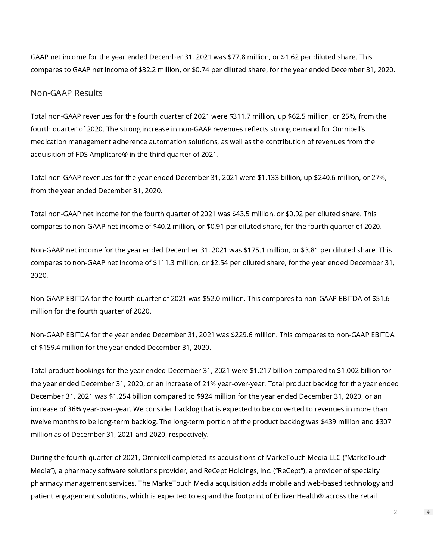GAAP net income for the year ended December 31, 2021 was \$77.8 million, or \$1.62 per diluted share. This compares to GAAP net income of \$32.2 million, or \$0.74 per diluted share, for the year ended December 31, 2020.

### Non-GAAP Results

Total non-GAAP revenues for the fourth quarter of 2021 were \$311.7 million, up \$62.5 million, or 25%, from the fourth quarter of 2020. The strong increase in non-GAAP revenues reflects strong demand for Omnicell's medication management adherence automation solutions, as well as the contribution of revenues from the acquisition of FDS Amplicare® in the third quarter of 2021.

Total non-GAAP revenues for the year ended December 31, 2021 were \$1.133 billion, up \$240.6 million, or 27%, from the year ended December 31, 2020.

Total non-GAAP net income for the fourth quarter of 2021 was \$43.5 million, or \$0.92 per diluted share. This compares to non-GAAP net income of \$40.2 million, or \$0.91 per diluted share, for the fourth quarter of 2020.

Non-GAAP net income for the year ended December 31, 2021 was \$175.1 million, or \$3.81 per diluted share. This compares to non-GAAP net income of \$111.3 million, or \$2.54 per diluted share, for the year ended December 31, 2020.

Non-GAAP EBITDA for the fourth quarter of 2021 was \$52.0 million. This compares to non-GAAP EBITDA of \$51.6 million for the fourth quarter of 2020.

Non-GAAP EBITDA for the year ended December 31, 2021 was \$229.6 million. This compares to non-GAAP EBITDA of \$159.4 million for the year ended December 31, 2020.

Total product bookings for the year ended December 31, 2021 were \$1.217 billion compared to \$1.002 billion for the year ended December 31, 2020, or an increase of 21% year-over-year. Total product backlog for the year ended December 31, 2021 was \$1.254 billion compared to \$924 million for the year ended December 31, 2020, or an increase of 36% year-over-year. We consider backlog that is expected to be converted to revenues in more than twelve months to be long-term backlog. The long-term portion of the product backlog was \$439 million and \$307 million as of December 31, 2021 and 2020, respectively.

During the fourth quarter of 2021, Omnicell completed its acquisitions of MarkeTouch Media LLC ("MarkeTouch Media"), a pharmacy software solutions provider, and ReCept Holdings, Inc. ("ReCept"), a provider of specialty pharmacy management services. The MarkeTouch Media acquisition adds mobile and web-based technology and patient engagement solutions, which is expected to expand the footprint of EnlivenHealth® across the retail

2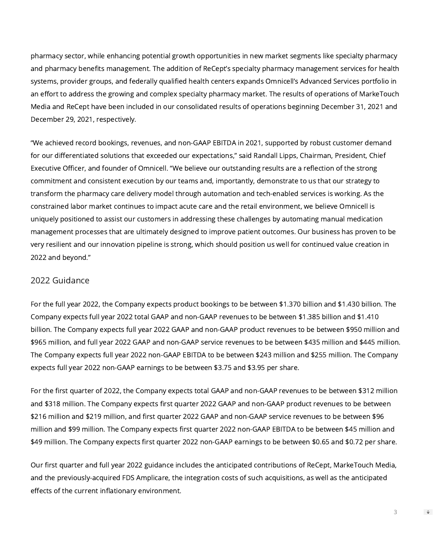pharmacy sector, while enhancing potential growth opportunities in new market segments like specialty pharmacy and pharmacy benefits management. The addition of ReCept's specialty pharmacy management services for health systems, provider groups, and federally qualified health centers expands Omnicell's Advanced Services portfolio in an effort to address the growing and complex specialty pharmacy market. The results of operations of MarkeTouch Media and ReCept have been included in our consolidated results of operations beginning December 31, 2021 and December 29, 2021, respectively.

"We achieved record bookings, revenues, and non-GAAP EBITDA in 2021, supported by robust customer demand for our differentiated solutions that exceeded our expectations," said Randall Lipps, Chairman, President, Chief Executive Officer, and founder of Omnicell. "We believe our outstanding results are a reflection of the strong commitment and consistent execution by our teams and, importantly, demonstrate to us that our strategy to transform the pharmacy care delivery model through automation and tech-enabled services is working. As the constrained labor market continues to impact acute care and the retail environment, we believe Omnicell is uniquely positioned to assist our customers in addressing these challenges by automating manual medication management processes that are ultimately designed to improve patient outcomes. Our business has proven to be very resilient and our innovation pipeline is strong, which should position us well for continued value creation in 2022 and beyond."

### 2022 Guidance

For the full year 2022, the Company expects product bookings to be between \$1.370 billion and \$1.430 billion. The Company expects full year 2022 total GAAP and non-GAAP revenues to be between \$1.385 billion and \$1.410 billion. The Company expects full year 2022 GAAP and non-GAAP product revenues to be between \$950 million and \$965 million, and full year 2022 GAAP and non-GAAP service revenues to be between \$435 million and \$445 million. The Company expects full year 2022 non-GAAP EBITDA to be between \$243 million and \$255 million. The Company expects full year 2022 non-GAAP earnings to be between \$3.75 and \$3.95 per share.

For the first quarter of 2022, the Company expects total GAAP and non-GAAP revenues to be between \$312 million and \$318 million. The Company expects first quarter 2022 GAAP and non-GAAP product revenues to be between \$216 million and \$219 million, and first quarter 2022 GAAP and non-GAAP service revenues to be between \$96 million and \$99 million. The Company expects first quarter 2022 non-GAAP EBITDA to be between \$45 million and \$49 million. The Company expects first quarter 2022 non-GAAP earnings to be between \$0.65 and \$0.72 per share.

Our first quarter and full year 2022 guidance includes the anticipated contributions of ReCept, MarkeTouch Media, and the previously-acquired FDS Amplicare, the integration costs of such acquisitions, as well as the anticipated effects of the current inflationary environment.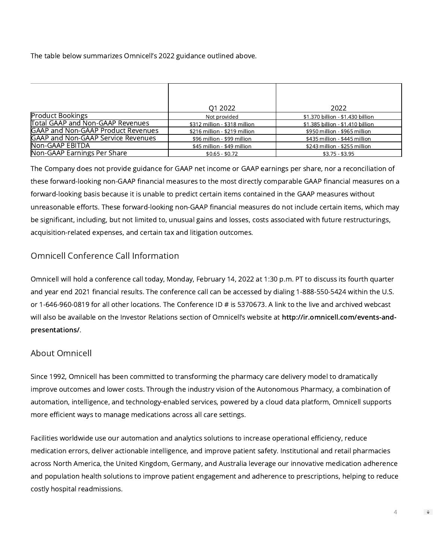The table below summarizes Omnicell's 2022 guidance outlined above.

|                                            | 01 2022                       | 2022                              |
|--------------------------------------------|-------------------------------|-----------------------------------|
| <b>Product Bookings</b>                    | Not provided                  | \$1.370 billion - \$1.430 billion |
| Total GAAP and Non-GAAP Revenues           | \$312 million - \$318 million | \$1.385 billion - \$1.410 billion |
| <b>IGAAP and Non-GAAP Product Revenues</b> | \$216 million - \$219 million | \$950 million - \$965 million     |
| <b>GAAP and Non-GAAP Service Revenues</b>  | \$96 million - \$99 million   | \$435 million - \$445 million     |
| <b>Non-GAAP EBITDA</b>                     | \$45 million - \$49 million   | \$243 million - \$255 million     |
| Non-GAAP Earnings Per Share                | $$0.65 - $0.72$               | $$3.75 - $3.95$                   |

The Company does not provide guidance for GAAP net income or GAAP earnings per share, nor a reconciliation of these forward-looking non-GAAP financial measures to the most directly comparable GAAP financial measures on a forward-looking basis because it is unable to predict certain items contained in the GAAP measures without unreasonable efforts. These forward-looking non-GAAP financial measures do not include certain items, which may be significant, including, but not limited to, unusual gains and losses, costs associated with future restructurings, acquisition-related expenses, and certain tax and litigation outcomes.

# Omnicell Conference Call Information

Omnicell will hold a conference call today, Monday, February 14, 2022 at 1:30 p.m. PT to discuss its fourth quarter and year end 2021 financial results. The conference call can be accessed by dialing 1-888-550-5424 within the U.S. or 1-646-960-0819 for all other locations. The Conference ID # is 5370673. A link to the live and archived webcast will also be available on the Investor Relations section of Omnicell's website at [http://ir.omnicell.com/events-and](https://cts.businesswire.com/ct/CT?id=smartlink&url=http%3A%2F%2Fir.omnicell.com%2Fevents-and-presentations%2F&esheet=52578986&newsitemid=20220214005614&lan=en-US&anchor=http%3A%2F%2Fir.omnicell.com%2Fevents-and-presentations%2F&index=1&md5=128ce9fb93b2e8808f355abdb6a58ba1)[presentations/](https://cts.businesswire.com/ct/CT?id=smartlink&url=http%3A%2F%2Fir.omnicell.com%2Fevents-and-presentations%2F&esheet=52578986&newsitemid=20220214005614&lan=en-US&anchor=http%3A%2F%2Fir.omnicell.com%2Fevents-and-presentations%2F&index=1&md5=128ce9fb93b2e8808f355abdb6a58ba1).

## About Omnicell

Since 1992, Omnicell has been committed to transforming the pharmacy care delivery model to dramatically improve outcomes and lower costs. Through the industry vision of the Autonomous Pharmacy, a combination of automation, intelligence, and technology-enabled services, powered by a cloud data platform, Omnicell supports more efficient ways to manage medications across all care settings.

Facilities worldwide use our automation and analytics solutions to increase operational efficiency, reduce medication errors, deliver actionable intelligence, and improve patient safety. Institutional and retail pharmacies across North America, the United Kingdom, Germany, and Australia leverage our innovative medication adherence and population health solutions to improve patient engagement and adherence to prescriptions, helping to reduce costly hospital readmissions.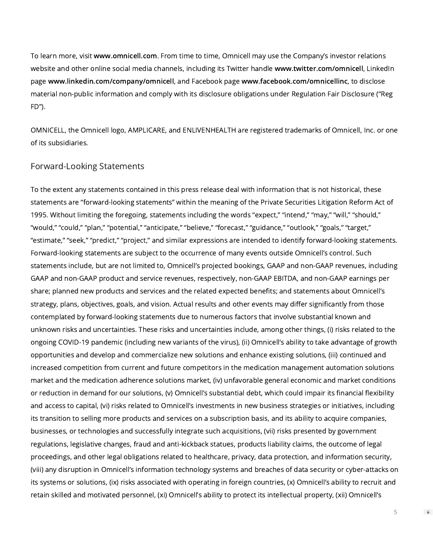To learn more, visit [www.omnicell.com](https://cts.businesswire.com/ct/CT?id=smartlink&url=http%3A%2F%2Fwww.omnicell.com&esheet=52578986&newsitemid=20220214005614&lan=en-US&anchor=www.omnicell.com&index=2&md5=23625eddc3010362b585150c0f655a5d). From time to time, Omnicell may use the Company's investor relations website and other online social media channels, including its Twitter handle [www.twitter.com/omnicell,](https://cts.businesswire.com/ct/CT?id=smartlink&url=http%3A%2F%2Fwww.twitter.com%2Fomnicell&esheet=52578986&newsitemid=20220214005614&lan=en-US&anchor=www.twitter.com%2Fomnicell&index=3&md5=72a6670f61563c17c300afc773d3003d) LinkedIn page [www.linkedin.com/company/omnicell](https://cts.businesswire.com/ct/CT?id=smartlink&url=http%3A%2F%2Fwww.linkedin.com%2Fcompany%2Fomnicell&esheet=52578986&newsitemid=20220214005614&lan=en-US&anchor=www.linkedin.com%2Fcompany%2Fomnicell&index=4&md5=ed27dce5c7f2616fde463649239ab022), and Facebook page [www.facebook.com/omnicellinc,](https://cts.businesswire.com/ct/CT?id=smartlink&url=http%3A%2F%2Fwww.facebook.com%2Fomnicellinc&esheet=52578986&newsitemid=20220214005614&lan=en-US&anchor=www.facebook.com%2Fomnicellinc&index=5&md5=3a60f52c302e0f3f1d802d37548e3ae5) to disclose material non-public information and comply with its disclosure obligations under Regulation Fair Disclosure ("Reg FD").

OMNICELL, the Omnicell logo, AMPLICARE, and ENLIVENHEALTH are registered trademarks of Omnicell, Inc. or one of its subsidiaries.

### Forward-Looking Statements

To the extent any statements contained in this press release deal with information that is not historical, these statements are "forward-looking statements" within the meaning of the Private Securities Litigation Reform Act of 1995. Without limiting the foregoing, statements including the words "expect," "intend," "may," "will," "should," "would," "could," "plan," "potential," "anticipate," "believe," "forecast," "guidance," "outlook," "goals," "target," "estimate," "seek," "predict," "project," and similar expressions are intended to identify forward-looking statements. Forward-looking statements are subject to the occurrence of many events outside Omnicell's control. Such statements include, but are not limited to, Omnicell's projected bookings, GAAP and non-GAAP revenues, including GAAP and non-GAAP product and service revenues, respectively, non-GAAP EBITDA, and non-GAAP earnings per share; planned new products and services and the related expected benefits; and statements about Omnicell's strategy, plans, objectives, goals, and vision. Actual results and other events may differ significantly from those contemplated by forward-looking statements due to numerous factors that involve substantial known and unknown risks and uncertainties. These risks and uncertainties include, among other things, (i) risks related to the ongoing COVID-19 pandemic (including new variants of the virus), (ii) Omnicell's ability to take advantage of growth opportunities and develop and commercialize new solutions and enhance existing solutions, (iii) continued and increased competition from current and future competitors in the medication management automation solutions market and the medication adherence solutions market, (iv) unfavorable general economic and market conditions or reduction in demand for our solutions, (v) Omnicell's substantial debt, which could impair its financial flexibility and access to capital, (vi) risks related to Omnicell's investments in new business strategies or initiatives, including its transition to selling more products and services on a subscription basis, and its ability to acquire companies, businesses, or technologies and successfully integrate such acquisitions, (vii) risks presented by government regulations, legislative changes, fraud and anti-kickback statues, products liability claims, the outcome of legal proceedings, and other legal obligations related to healthcare, privacy, data protection, and information security, (viii) any disruption in Omnicell's information technology systems and breaches of data security or cyber-attacks on its systems or solutions, (ix) risks associated with operating in foreign countries, (x) Omnicell's ability to recruit and retain skilled and motivated personnel, (xi) Omnicell's ability to protect its intellectual property, (xii) Omnicell's

5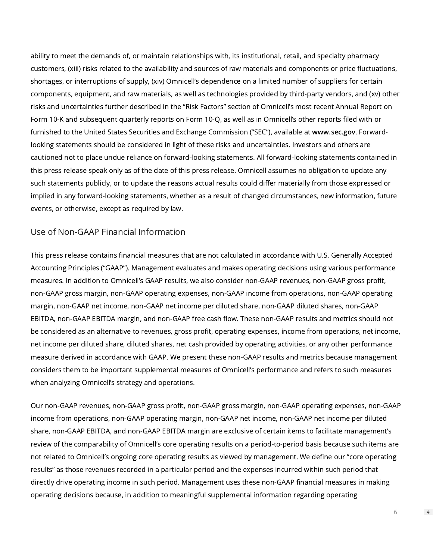ability to meet the demands of, or maintain relationships with, its institutional, retail, and specialty pharmacy customers, (xiii) risks related to the availability and sources of raw materials and components or price fluctuations, shortages, or interruptions of supply, (xiv) Omnicell's dependence on a limited number of suppliers for certain components, equipment, and raw materials, as well as technologies provided by third-party vendors, and (xv) other risks and uncertainties further described in the "Risk Factors" section of Omnicell's most recent Annual Report on Form 10-K and subsequent quarterly reports on Form 10-Q, as well as in Omnicell's other reports filed with or furnished to the United States Securities and Exchange Commission ("SEC"), available at [www.sec.gov](https://cts.businesswire.com/ct/CT?id=smartlink&url=http%3A%2F%2Fwww.sec.gov&esheet=52578986&newsitemid=20220214005614&lan=en-US&anchor=www.sec.gov&index=6&md5=10330d94a69c67ff7edced95d923c820). Forwardlooking statements should be considered in light of these risks and uncertainties. Investors and others are cautioned not to place undue reliance on forward-looking statements. All forward-looking statements contained in this press release speak only as of the date of this press release. Omnicell assumes no obligation to update any such statements publicly, or to update the reasons actual results could differ materially from those expressed or implied in any forward-looking statements, whether as a result of changed circumstances, new information, future events, or otherwise, except as required by law.

### Use of Non-GAAP Financial Information

This press release contains financial measures that are not calculated in accordance with U.S. Generally Accepted Accounting Principles ("GAAP"). Management evaluates and makes operating decisions using various performance measures. In addition to Omnicell's GAAP results, we also consider non-GAAP revenues, non-GAAP gross profit, non-GAAP gross margin, non-GAAP operating expenses, non-GAAP income from operations, non-GAAP operating margin, non-GAAP net income, non-GAAP net income per diluted share, non-GAAP diluted shares, non-GAAP EBITDA, non-GAAP EBITDA margin, and non-GAAP free cash flow. These non-GAAP results and metrics should not be considered as an alternative to revenues, gross profit, operating expenses, income from operations, net income, net income per diluted share, diluted shares, net cash provided by operating activities, or any other performance measure derived in accordance with GAAP. We present these non-GAAP results and metrics because management considers them to be important supplemental measures of Omnicell's performance and refers to such measures when analyzing Omnicell's strategy and operations.

Our non-GAAP revenues, non-GAAP gross profit, non-GAAP gross margin, non-GAAP operating expenses, non-GAAP income from operations, non-GAAP operating margin, non-GAAP net income, non-GAAP net income per diluted share, non-GAAP EBITDA, and non-GAAP EBITDA margin are exclusive of certain items to facilitate management's review of the comparability of Omnicell's core operating results on a period-to-period basis because such items are not related to Omnicell's ongoing core operating results as viewed by management. We define our "core operating results" as those revenues recorded in a particular period and the expenses incurred within such period that directly drive operating income in such period. Management uses these non-GAAP financial measures in making operating decisions because, in addition to meaningful supplemental information regarding operating

6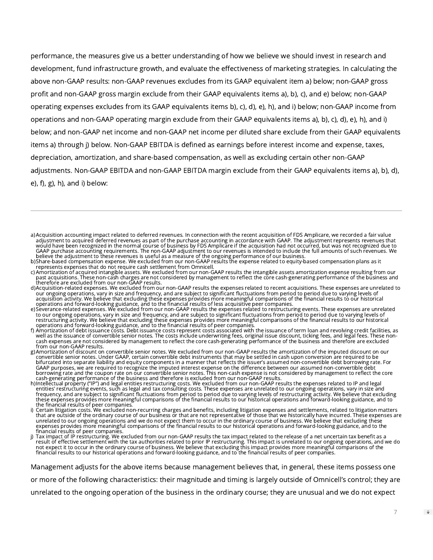performance, the measures give us a better understanding of how we believe we should invest in research and development, fund infrastructure growth, and evaluate the effectiveness of marketing strategies. In calculating the above non-GAAP results: non-GAAP revenues excludes from its GAAP equivalent item a) below; non-GAAP gross profit and non-GAAP gross margin exclude from their GAAP equivalents items a), b), c), and e) below; non-GAAP operating expenses excludes from its GAAP equivalents items b), c), d), e), h), and i) below; non-GAAP income from operations and non-GAAP operating margin exclude from their GAAP equivalents items a), b), c), d), e), h), and i) below; and non-GAAP net income and non-GAAP net income per diluted share exclude from their GAAP equivalents items a) through i) below. Non-GAAP EBITDA is defined as earnings before interest income and expense, taxes, depreciation, amortization, and share-based compensation, as well as excluding certain other non-GAAP adjustments. Non-GAAP EBITDA and non-GAAP EBITDA margin exclude from their GAAP equivalents items a), b), d), e), f), g), h), and i) below:

- a)Acquisition accounting impact related to deferred revenues. In connection with the recent acquisition of FDS Amplicare, we recorded a fair value adjustment to acquired deferred revenues as part of the purchase accounting in accordance with GAAP. The adjustment represents revenues that<br>Would have been recognized in the normal course of business by FDS Amplicare if t
- represents expenses that do not require cash settlement from Omnicell.
- c) Amortization of acquired intangible assets. We excluded from our non-GAAP results the intangible assets amortization expense resulting from our
- past acquisitions. These non-cash charges are not considered by management to reflect the core cash-generating performance of the business and<br>therefore are excluded from our non-GAAP results.<br>d)Acquisition-related expense
- 
- to our ongoing operations, vary in size and frequency, and are subject to significant fluctuations from period to period due to varying levels of<br>restructuring activity. We believe that excluding these expenses provides mo from our non-GAAP results.
- g)Amortization of discount on convertible senior notes. We excluded from our non-GAAP results the amortization of the imputed discount on our<br>convertible senior notes. Under GAAP, certain convertible debt instruments that GAAP purposes, we are required to recognize the imputed interest expense on the difference between our assumed non-convertible debt<br>borrowing rate and the coupon rate on our convertible senior notes. This non-cash expense
- cash-generating performance of the business and therefore is excluded from our non-GAAP results.<br>h)Intellectual property ("IP") and legal entities restructuring costs. We excluded from our non-GAAP results the expenses rel the financial results of peer companies.
- i) Certain litigation costs. We excluded non-recurring charges and benefits, including litigation expenses and settlements, related to litigation matters that are outside of the ordinary course of our business or that are not representative of those that we historically have incurred. These expenses are<br>unrelated to our ongoing operations and we do not expect them to occur nancial results of peer companies.
- j) Tax impact of IP restructuring. We excluded from our non-GAAP results the tax impact related to the release of a net uncertain tax benefit as a result of effective settlement with the tax authorities related to prior IP restructuring. This impact is unrelated to our ongoing operations, and we do<br>not expect it to occur in the ordinary course of business. We believe

Management adjusts for the above items because management believes that, in general, these items possess one

or more of the following characteristics: their magnitude and timing is largely outside of Omnicell's control; they are

7

 $\Rightarrow$ 

unrelated to the ongoing operation of the business in the ordinary course; they are unusual and we do not expect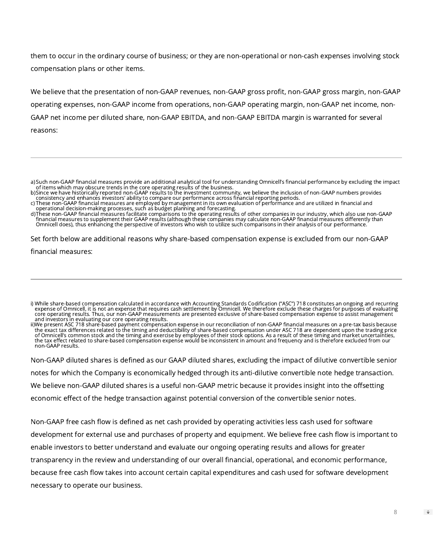them to occur in the ordinary course of business; or they are non-operational or non-cash expenses involving stock compensation plans or other items.

We believe that the presentation of non-GAAP revenues, non-GAAP gross profit, non-GAAP gross margin, non-GAAP operating expenses, non-GAAP income from operations, non-GAAP operating margin, non-GAAP net income, non-GAAP net income per diluted share, non-GAAP EBITDA, and non-GAAP EBITDA margin is warranted for several reasons:

Set forth below are additional reasons why share-based compensation expense is excluded from our non-GAAP financial measures:

Non-GAAP diluted shares is defined as our GAAP diluted shares, excluding the impact of dilutive convertible senior notes for which the Company is economically hedged through its anti-dilutive convertible note hedge transaction. We believe non-GAAP diluted shares is a useful non-GAAP metric because it provides insight into the offsetting economic effect of the hedge transaction against potential conversion of the convertible senior notes.

Non-GAAP free cash flow is defined as net cash provided by operating activities less cash used for software development for external use and purchases of property and equipment. We believe free cash flow is important to enable investors to better understand and evaluate our ongoing operating results and allows for greater transparency in the review and understanding of our overall financial, operational, and economic performance, because free cash flow takes into account certain capital expenditures and cash used for software development necessary to operate our business.

a) Such non-GAAP financial measures provide an additional analytical tool for understanding Omnicell's financial performance by excluding the impact

of items which may obscure trends in the core operating results of the business.<br>b)Since we have historically reported non-GAAP results to the investment community, we believe the inclusion of non-GAAP numbers provides<br>con

c) These non-GAAP financial measures are employed by management in its own evaluation of performance and are utilized in financial and

operational decision-making processes, such as budget planning and forecasting.<br>d)These non-GAAP financial measures facilitate comparisons to the operating results of other companies in our industry, which also use non-GAA

i) While share-based compensation calculated in accordance with Accounting Standards Codification ("ASC") 718 constitutes an ongoing and recurring<br>expense of Omnicell, it is not an expense that requires cash settlement by

ii)We present ASC 718 share-based payment compensation expense in our reconciliation of non-GAAP financial measures on a pre-tax basis because the exact tax differences related to the timing and deductibility of share-based compensation under ASC 718 are dependent upon the trading price<br>of Omnicell's common stock and the timing and exercise by employees of their non-GAAP results.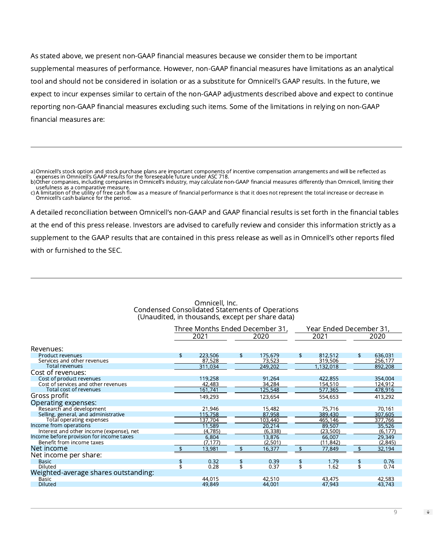As stated above, we present non-GAAP financial measures because we consider them to be important supplemental measures of performance. However, non-GAAP financial measures have limitations as an analytical tool and should not be considered in isolation or as a substitute for Omnicell's GAAP results. In the future, we expect to incur expenses similar to certain of the non-GAAP adjustments described above and expect to continue reporting non-GAAP financial measures excluding such items. Some of the limitations in relying on non-GAAP financial measures are:

A detailed reconciliation between Omnicell's non-GAAP and GAAP financial results is set forth in the financial tables at the end of this press release. Investors are advised to carefully review and consider this information strictly as a supplement to the GAAP results that are contained in this press release as well as in Omnicell's other reports filed with or furnished to the SEC.

|                                          | Three Months Ended December 31, |              |    |          | Year Ended December 31 |           |    |          |  |
|------------------------------------------|---------------------------------|--------------|----|----------|------------------------|-----------|----|----------|--|
|                                          |                                 | 2021<br>2020 |    |          |                        | 2021      |    | 2020     |  |
| Revenues:                                |                                 |              |    |          |                        |           |    |          |  |
| Product revenues                         | \$                              | 223,506      | \$ | 175,679  | \$                     | 812,512   | \$ | 636,031  |  |
| Services and other revenues              |                                 | 87,528       |    | 73.523   |                        | 319,506   |    | 256,177  |  |
| <b>Total revenues</b>                    |                                 | 311,034      |    | 249,202  |                        | 1,132,018 |    | 892,208  |  |
| Cost of revenues:                        |                                 |              |    |          |                        |           |    |          |  |
| Cost of product revenues                 |                                 | 119,258      |    | 91,264   |                        | 422,855   |    | 354,004  |  |
| Cost of services and other revenues      |                                 | 42,483       |    | 34,284   |                        | 154,510   |    | 124,912  |  |
| Total cost of revenues                   |                                 | 161,741      |    | 125,548  |                        | 577,365   |    | 478,916  |  |
| Gross profit                             |                                 | 149,293      |    | 123,654  |                        | 554,653   |    | 413,292  |  |
| Operating expenses:                      |                                 |              |    |          |                        |           |    |          |  |
| Research and development                 |                                 | 21,946       |    | 15,482   |                        | 75,716    |    | 70,161   |  |
| Selling, general, and administrative     |                                 | 115,758      |    | 87,958   |                        | 389,430   |    | 307,605  |  |
| Total operating expenses                 |                                 | 137,704      |    | 103,440  |                        | 465,146   |    | 377,766  |  |
| Income from operations                   |                                 | 11,589       |    | 20,214   |                        | 89,507    |    | 35,526   |  |
| Interest and other income (expense), net |                                 | (4,785)      |    | (6, 338) |                        | (23,500)  |    | (6, 177) |  |
| Income before provision for income taxes |                                 | 6,804        |    | 13,876   |                        | 66,007    |    | 29,349   |  |
| Benefit from income taxes                |                                 | (7, 177)     |    | (2,501)  |                        | (11, 842) |    | (2,845)  |  |
| Net income                               |                                 | 13,981       |    | 16,377   |                        | 77,849    |    | 32,194   |  |
| Net income per share:                    |                                 |              |    |          |                        |           |    |          |  |
| Basic                                    | \$                              | 0.32         | \$ | 0.39     | \$                     | 1.79      | \$ | 0.76     |  |
| Diluted                                  | ፍ                               | 0.28         | \$ | 0.37     | \$                     | 1.62      | \$ | 0.74     |  |
| Weighted-average shares outstanding:     |                                 |              |    |          |                        |           |    |          |  |
| Basic                                    |                                 | 44,015       |    | 42,510   |                        | 43,475    |    | 42,583   |  |
| <b>Diluted</b>                           |                                 | 49,849       |    | 44,001   |                        | 47,943    |    | 43,743   |  |

#### Omnicell, Inc. Condensed Consolidated Statements of Operations (Unaudited, in thousands, except per share data)

a) Omnicell's stock option and stock purchase plans are important components of incentive compensation arrangements and will be reflected as expenses in Omnicell's GAAP results for the foreseeable future under ASC 718.<br>b)Other companies, including companies in Omnicell's industry, may calculate non-GAAP financial measures differently than Omnicell, limiting the

usefulness as a comparative measure.<br>c) A limitation of the utility of free cash flow as a measure of financial performance is that it does not represent the total increase or decrease in<br>Omnicell's cash balance for the pe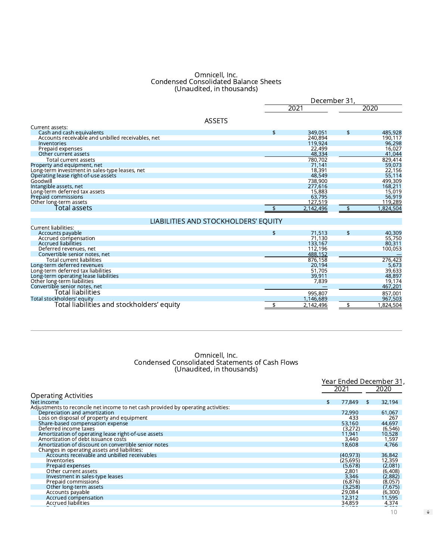#### Omnicell, Inc. Condensed Consolidated Balance Sheets (Unaudited, in thousands)

|                                                                      | December 31            |               |                  |  |  |  |
|----------------------------------------------------------------------|------------------------|---------------|------------------|--|--|--|
|                                                                      | 2021                   |               | 2020             |  |  |  |
| <b>ASSETS</b>                                                        |                        |               |                  |  |  |  |
| Current assets:                                                      |                        |               |                  |  |  |  |
| Cash and cash equivalents                                            | \$<br>349.051          | $\mathbf{E}$  | 485,928          |  |  |  |
| Accounts receivable and unbilled receivables, net                    | 240,894                |               | 190,117          |  |  |  |
| Inventories                                                          | 119,924                |               | 96,298           |  |  |  |
| Prepaid expenses                                                     | 22,499                 |               | 16,027           |  |  |  |
| Other current assets                                                 | 48,334                 |               | 41,044           |  |  |  |
| Total current assets                                                 | 780,702                |               | 829,414          |  |  |  |
| Property and equipment, net                                          | 71,141                 |               | 59,073           |  |  |  |
| Long-term investment in sales-type leases, net                       | 18,391                 |               | 22,156           |  |  |  |
| Operating lease right-of-use assets                                  | 48,549                 |               | 55,114           |  |  |  |
| Goodwill                                                             | 738,900                |               | 499,309          |  |  |  |
| Intangible assets, net                                               | 277,616                |               | 168,211          |  |  |  |
| Long-term deferred tax assets                                        | 15,883                 |               | 15,019           |  |  |  |
| Prepaid commissions                                                  | 63,795                 |               | 56,919           |  |  |  |
| Other long-term assets                                               | 127,519                |               | 119,289          |  |  |  |
| Total assets                                                         | 2,142,496              | $\frac{1}{2}$ | 1,824,504        |  |  |  |
| LIABILITIES AND STOCKHOLDERS' EQUITY                                 |                        |               |                  |  |  |  |
| Current liabilities:                                                 |                        |               |                  |  |  |  |
|                                                                      |                        | \$            |                  |  |  |  |
| Accounts payable                                                     | \$<br>71,513<br>71,130 |               | 40,309<br>55,750 |  |  |  |
| Accrued compensation<br><b>Accrued liabilities</b>                   | 133,167                |               | 80,311           |  |  |  |
| Deferred revenues, net                                               | 112,196                |               | 100,053          |  |  |  |
| Convertible senior notes, net                                        | 488,152                |               |                  |  |  |  |
| <b>Total current liabilities</b>                                     | 876,158                |               | 276,423          |  |  |  |
| Long-term deferred revenues                                          | 20,194                 |               | 5,673            |  |  |  |
| Long-term deferred tax liabilities                                   | 51,705                 |               | 39,633           |  |  |  |
|                                                                      | 39,911                 |               | 48,897           |  |  |  |
| Long-term operating lease liabilities<br>Other long-term liabilities | 7,839                  |               | 19,174           |  |  |  |
| Convertible senior notes, net                                        |                        |               | 467,201          |  |  |  |
| Total liabilities                                                    |                        |               |                  |  |  |  |
|                                                                      | 995,807                |               | 857,001          |  |  |  |
| Total stockholders' equity                                           | 1,146,689              |               | 967,503          |  |  |  |
| Total liabilities and stockholders' equity                           | \$<br>2,142,496        | \$            | 1,824,504        |  |  |  |

#### Omnicell, Inc. Condensed Consolidated Statements of Cash Flows (Unaudited, in thousands)

| 0.100.100.00, 111 0.100.00.100,1                                                  |              |                         |
|-----------------------------------------------------------------------------------|--------------|-------------------------|
|                                                                                   |              | Year Ended December 31, |
|                                                                                   | 2021         | 2020                    |
| <b>Operating Activities</b>                                                       |              |                         |
| Net income                                                                        | 77.849<br>\$ | 32,194<br>\$.           |
| Adjustments to reconcile net income to net cash provided by operating activities: |              |                         |
| Depreciation and amortization                                                     | 72,990       | 61,067                  |
| Loss on disposal of property and equipment                                        | 433          | 267                     |
| Share-based compensation expense                                                  | 53,160       | 44,697                  |
| Deferred income taxes                                                             | (3,272)      | (6, 546)                |
| Amortization of operating lease right-of-use assets                               | 11,941       | 10,528                  |
| Amortization of debt issuance costs                                               | 3,440        | 1,597                   |
| Amortization of discount on convertible senior notes                              | 18,608       | 4,766                   |
| Changes in operating assets and liabilities:                                      |              |                         |
| Accounts receivable and unbilled receivables                                      | (40, 973)    | 36,842                  |
| Inventories                                                                       | (25, 695)    | 12,359                  |
| Prepaid expenses                                                                  | (5,678)      | (2,081)                 |
| Other current assets                                                              | 2,801        | (6,408)                 |
| Investment in sales-type leases                                                   | 3,346        | (2,882)                 |
| Prepaid commissions                                                               | (6, 876)     | (8,057)                 |
| Other long-term assets                                                            | (3,258)      | (7,675)                 |
| Accounts payable                                                                  | 29,084       | (6,300)                 |
| Accrued compensation                                                              | 12,312       | 11,595                  |
| Accrued liabilities                                                               | 34,859       | 4,374                   |
|                                                                                   |              | $\wedge$                |

10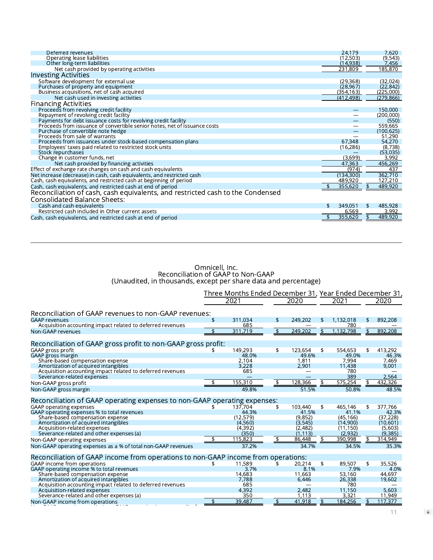| Deferred revenues                                                              | 24,179        | 7,620         |
|--------------------------------------------------------------------------------|---------------|---------------|
| Operating lease liabilities                                                    | (12, 503)     | (9, 543)      |
| Other long-term liabilities                                                    | (14, 938)     | 7,456         |
| Net cash provided by operating activities                                      | 231,809       | 185,870       |
| <b>Investing Activities</b>                                                    |               |               |
| Software development for external use                                          | (29, 368)     | (32,024)      |
| Purchases of property and equipment                                            | (28, 967)     | (22, 842)     |
| Business acquisitions, net of cash acquired                                    | (354, 163)    | (225,000)     |
| Net cash used in investing activities                                          | (412, 498)    | (279, 866)    |
| <b>Financing Activities</b>                                                    |               |               |
| Proceeds from revolving credit facility                                        |               | 150,000       |
| Repayment of revolving credit facility                                         |               | (200,000)     |
| Payments for debt issuance costs for revolving credit facility                 |               | (550)         |
| Proceeds from issuance of convertible senior notes, net of issuance costs      |               | 559,665       |
| Purchase of convertible note hedge                                             |               | (100, 625)    |
| Proceeds from sale of warrants                                                 |               | 51,290        |
| Proceeds from issuances under stock-based compensation plans                   | 67,348        | 54,270        |
| Employees' taxes paid related to restricted stock units                        | (16, 286)     | (8,738)       |
| Stock repurchases                                                              |               | (53,035)      |
| Change in customer funds, net                                                  | (3,699)       | 3,992         |
| Net cash provided by financing activities                                      | 47,363        | 456,269       |
| Effect of exchange rate changes on cash and cash equivalents                   | (974)         | 437           |
| Net increase (decrease) in cash, cash equivalents, and restricted cash         | (134, 300)    | 362,710       |
| Cash, cash equivalents, and restricted cash at beginning of period             | 489,920       | 127,210       |
| Cash, cash equivalents, and restricted cash at end of period                   | 355,620       | 489,920       |
| Reconciliation of cash, cash equivalents, and restricted cash to the Condensed |               |               |
| <b>Consolidated Balance Sheets:</b>                                            |               |               |
| Cash and cash equivalents                                                      | \$<br>349.051 | \$<br>485,928 |
| Restricted cash included in Other current assets                               | 6,569         | 3,992         |
| Cash, cash equivalents, and restricted cash at end of period                   | 355,620       | 489,920       |

#### Omnicell, Inc. Reconciliation of GAAP to Non-GAAP (Unaudited, in thousands, except per share data and percentage)

|                                                                                   | Three Months Ended December 31, Year Ended December 31,<br>2020<br>2021 |                   |                    |                    |    |                      | 2020                |  |
|-----------------------------------------------------------------------------------|-------------------------------------------------------------------------|-------------------|--------------------|--------------------|----|----------------------|---------------------|--|
| Reconciliation of GAAP revenues to non-GAAP revenues:                             |                                                                         |                   |                    |                    |    |                      |                     |  |
| <b>GAAP revenues</b>                                                              | \$                                                                      | 311.034           | \$                 | 249.202            | S  | 1,132,018            | \$<br>892,208       |  |
| Acquisition accounting impact related to deferred revenues                        |                                                                         | 685               |                    |                    |    | 780                  |                     |  |
| Non-GAAP revenues                                                                 |                                                                         | 311,719           | $\mathbf{\hat{z}}$ | 249.202            | \$ | 1.132.798            | \$<br>892.208       |  |
|                                                                                   |                                                                         |                   |                    |                    |    |                      |                     |  |
| Reconciliation of GAAP gross profit to non-GAAP gross profit:                     |                                                                         |                   |                    |                    |    |                      |                     |  |
| GAAP gross profit                                                                 |                                                                         | 149,293           | \$                 | 123,654            | \$ | 554,653              | \$<br>413,292       |  |
| GAAP gross margin                                                                 |                                                                         | 48.0%             |                    | 49.6%              |    | 49.0%                | 46.3%               |  |
| Share-based compensation expense                                                  |                                                                         | 2,104             |                    | 1,811              |    | 7,994                | 7,469               |  |
| Amortization of acquired intangibles                                              |                                                                         | 3,228             |                    | 2.901              |    | 11.438               | 9.001               |  |
| Acquisition accounting impact related to deferred revenues                        |                                                                         | 685               |                    |                    |    | 780                  |                     |  |
| Severance-related expenses                                                        |                                                                         |                   |                    |                    |    | 389                  | 2.564               |  |
| Non-GAAP gross profit                                                             |                                                                         | 155,310           | \$                 | 128,366            | \$ | 575,254              | 432,326             |  |
| Non-GAAP gross margin                                                             |                                                                         | 49.8%             |                    | 51.5%              |    | 50.8%                | 48.5%               |  |
|                                                                                   |                                                                         |                   |                    |                    |    |                      |                     |  |
| Reconciliation of GAAP operating expenses to non-GAAP operating expenses:         |                                                                         |                   |                    |                    |    |                      |                     |  |
| GAAP operating expenses                                                           | \$                                                                      | 137,704           | \$                 | 103,440            | \$ | 465.146              | \$<br>377,766       |  |
| GAAP operating expenses % to total revenues                                       |                                                                         | 44.3%             |                    | 41.5%              |    | 41.1%                | 42.3%               |  |
| Share-based compensation expense                                                  |                                                                         | (12.579)          |                    | (9.852)            |    | (45.166)             | (37.228)            |  |
| Amortization of acquired intangibles                                              |                                                                         | (4,560)           |                    | (3, 545)           |    | (14.900)             | (10.601)            |  |
| Acquisition-related expenses<br>Severance-related and other expenses (a)          |                                                                         | (4, 392)<br>(350) |                    | (2,482)<br>(1.113) |    | (11, 150)<br>(2,932) | (5,603)<br>(9, 385) |  |
|                                                                                   |                                                                         | 115,823           | \$                 | 86,448             | \$ | 390,998              | 314,949             |  |
| Non-GAAP operating expenses                                                       |                                                                         |                   |                    |                    |    |                      |                     |  |
| Non-GAAP operating expenses as a % of total non-GAAP revenues                     |                                                                         | 37.2%             |                    | 34.7%              |    | 34.5%                | 35.3%               |  |
| Reconciliation of GAAP income from operations to non-GAAP income from operations: |                                                                         |                   |                    |                    |    |                      |                     |  |
| GAAP income from operations                                                       | \$.                                                                     | 11,589            | \$                 | 20.214             | \$ | 89.507               | \$<br>35.526        |  |
| GAAP operating income % to total revenues                                         |                                                                         | 3.7%              |                    | 8.1%               |    | 7.9%                 | 4.0%                |  |
| Share-based compensation expense                                                  |                                                                         | 14.683            |                    | 11.663             |    | 53.160               | 44.697              |  |
| Amortization of acquired intangibles                                              |                                                                         | 7,788             |                    | 6,446              |    | 26,338               | 19,602              |  |
| Acquisition accounting impact related to deferred revenues                        |                                                                         | 685               |                    |                    |    | 780                  |                     |  |
| Acquisition-related expenses                                                      |                                                                         | 4,392             |                    | 2,482              |    | 11,150               | 5,603               |  |
| Severance-related and other expenses (a)                                          |                                                                         | 350               |                    | 1.113              |    | 3.321                | 11.949              |  |
| Non-GAAP income from operations                                                   |                                                                         | 39.487            |                    | 41,918             | \$ | 184,256              | 117,377             |  |
|                                                                                   |                                                                         |                   |                    |                    |    |                      |                     |  |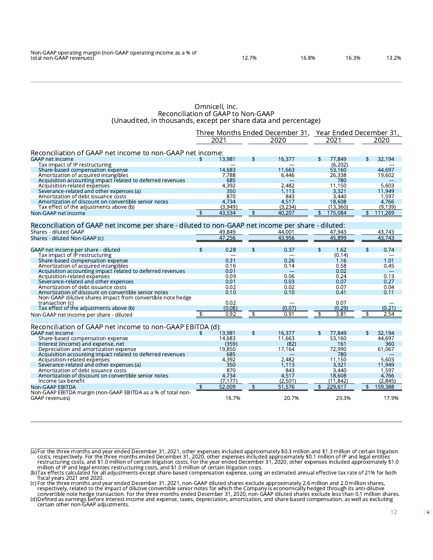| Reconciliation of GAAP to Non-GAAP<br>(Unaudited, in thousands, except per share data and percentage)           |                |         |    |                                                         |      |           |      |          |
|-----------------------------------------------------------------------------------------------------------------|----------------|---------|----|---------------------------------------------------------|------|-----------|------|----------|
|                                                                                                                 |                |         |    | Three Months Ended December 31, Year Ended December 31, |      |           |      |          |
|                                                                                                                 | 2020<br>2021   |         |    |                                                         | 2021 |           | 2020 |          |
| Reconciliation of GAAP net income to non-GAAP net income:                                                       |                |         |    |                                                         |      |           |      |          |
| <b>GAAP net income</b>                                                                                          | \$             | 13,981  | \$ | 16,377                                                  | \$   | 77,849    | \$   | 32,194   |
| Tax impact of IP restructuring                                                                                  |                |         |    |                                                         |      | (6, 202)  |      |          |
| Share-based compensation expense                                                                                |                | 14,683  |    | 11.663                                                  |      | 53,160    |      | 44.697   |
|                                                                                                                 |                | 7,788   |    | 6,446                                                   |      | 26,338    |      | 19,602   |
| Amortization of acquired intangibles<br>Acquisition accounting impact related to deferred revenues              |                | 685     |    |                                                         |      | 780       |      |          |
| Acquisition-related expenses<br>Severance-related and other expenses (a)                                        |                | 4,392   |    | 2,482                                                   |      | 11,150    |      | 5,603    |
|                                                                                                                 |                | 350     |    | 1,113                                                   |      | 3,321     |      | 11,949   |
| Amortization of debt issuance costs                                                                             |                | 870     |    | 843                                                     |      | 3,440     |      | 1,597    |
| Amortization of discount on convertible senior notes                                                            |                | 4,734   |    | 4,517                                                   |      | 18,608    |      | 4.766    |
| Tax effect of the adjustments above (b)                                                                         |                | (3,949) |    | (3,234)                                                 |      | (13,360)  |      | (9, 139) |
| Non-GAAP net income                                                                                             | \$             | 43,534  |    | 40.207                                                  |      | 175,084   |      | 111,269  |
| Reconciliation of GAAP net income per share - diluted to non-GAAP net income per share - diluted:               |                |         |    |                                                         |      |           |      |          |
| Shares - diluted GAAP                                                                                           |                | 49,849  |    | 44,001                                                  |      | 47,943    |      | 43,743   |
|                                                                                                                 |                | 47.256  |    | 43.956                                                  |      | 45.899    |      | 43.743   |
| Shares - diluted Non-GAAP (c)                                                                                   |                |         |    |                                                         |      |           |      |          |
| GAAP net income per share - diluted                                                                             | \$             | 0.28    | \$ | 0.37                                                    | \$   | 1.62      | \$   | 0.74     |
| Tax impact of IP restructuring                                                                                  |                |         |    |                                                         |      | (0.14)    |      |          |
|                                                                                                                 |                | 0.31    |    | 0.26                                                    |      | 1.16      |      | 1.01     |
| Share-based compensation expense<br>Amortization of acquired intangibles                                        |                | 0.16    |    | 0.14                                                    |      | 0.58      |      | 0.45     |
| Acquisition accounting impact related to deferred revenues                                                      |                | 0.01    |    |                                                         |      | 0.02      |      |          |
| Acquisition-related expenses<br>Severance-related and other expenses<br>Amortization of debt issuance costs     |                | 0.09    |    | 0.06                                                    |      | 0.24      |      | 0.13     |
|                                                                                                                 |                | 0.01    |    | 0.03                                                    |      | 0.07      |      | 0.27     |
|                                                                                                                 |                | 0.02    |    | 0.02                                                    |      | 0.07      |      | 0.04     |
| Amortization of discount on convertible senior notes                                                            |                | 0.10    |    | 0.10                                                    |      | 0.41      |      | 0.11     |
| Non-GAAP dilutive shares impact from convertible note hedge                                                     |                |         |    |                                                         |      |           |      |          |
| transaction (c)                                                                                                 |                | 0.02    |    |                                                         |      | 0.07      |      |          |
| Tax effect of the adjustments above (b)                                                                         |                | (0.08)  |    | (0.07)                                                  |      | (0.29)    |      | (0.21)   |
| Non-GAAP net income per share - diluted                                                                         | \$             | 0.92    | \$ | 0.91                                                    | \$   | 3.81      | \$   | 2.54     |
| Reconciliation of GAAP net income to non-GAAP EBITDA (d):                                                       |                |         |    |                                                         |      |           |      |          |
| GAAP net income                                                                                                 | ፍ              | 13,981  | \$ | 16,377                                                  | \$   | 77.849    | \$   | 32,194   |
|                                                                                                                 |                | 14,683  |    | 11,663                                                  |      | 53.160    |      | 44.697   |
| Share-based compensation expense<br>Interest (income) and expense, net<br>Depreciation and amortization expense |                | (359)   |    | (82)                                                    |      | 161       |      | 360      |
|                                                                                                                 |                | 19,850  |    | 17,164                                                  |      | 72,990    |      | 61,067   |
| Acquisition accounting impact related to deferred revenues                                                      |                | 685     |    |                                                         |      | 780       |      |          |
| Acquisition-related expenses                                                                                    |                | 4,392   |    | 2.482                                                   |      | 11,150    |      | 5.603    |
| Severance-related and other expenses (a)                                                                        |                | 350     |    | 1,113                                                   |      | 3,321     |      | 11,949   |
| Amortization of debt issuance costs                                                                             |                | 870     |    | 843                                                     |      | 3,440     |      | 1,597    |
| Amortization of discount on convertible senior notes                                                            |                | 4,734   |    | 4,517                                                   |      | 18,608    |      | 4,766    |
| Income tax benefit                                                                                              |                | (7.177) |    | (2,501)                                                 |      | (11, 842) |      | (2,845)  |
| Non-GAAP EBITDA                                                                                                 | $\mathfrak{D}$ | 52.009  | \$ | 51,576                                                  | \$   | 229.617   | \$   | 159,388  |
| Non-GAAP EBITDA margin (non-GAAP EBITDA as a % of total non-                                                    |                |         |    |                                                         |      |           |      |          |
| GAAP revenues)                                                                                                  |                | 16.7%   |    | 20.7%                                                   |      | 20.3%     |      | 17.9%    |

Omnicell, Inc.

(a) For the three months and year ended December 31, 2021, other expenses included approximately \$0.3 million and \$1.3 million of certain litigation costs, respectively. For the three months ended December 31, 2020, other